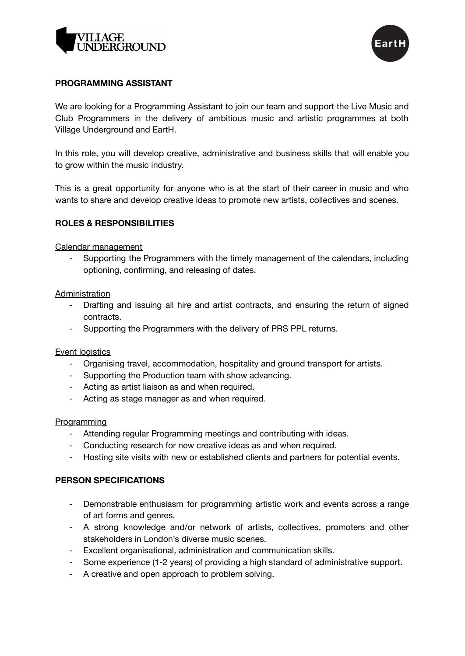



# **PROGRAMMING ASSISTANT**

We are looking for a Programming Assistant to join our team and support the Live Music and Club Programmers in the delivery of ambitious music and artistic programmes at both Village Underground and EartH.

In this role, you will develop creative, administrative and business skills that will enable you to grow within the music industry.

This is a great opportunity for anyone who is at the start of their career in music and who wants to share and develop creative ideas to promote new artists, collectives and scenes.

# **ROLES & RESPONSIBILITIES**

### Calendar management

- Supporting the Programmers with the timely management of the calendars, including optioning, confirming, and releasing of dates.

### **Administration**

- Drafting and issuing all hire and artist contracts, and ensuring the return of signed contracts.
- Supporting the Programmers with the delivery of PRS PPL returns.

# Event logistics

- Organising travel, accommodation, hospitality and ground transport for artists.
- Supporting the Production team with show advancing.
- Acting as artist liaison as and when required.
- Acting as stage manager as and when required.

#### **Programming**

- Attending regular Programming meetings and contributing with ideas.
- Conducting research for new creative ideas as and when required.
- Hosting site visits with new or established clients and partners for potential events.

#### **PERSON SPECIFICATIONS**

- Demonstrable enthusiasm for programming artistic work and events across a range of art forms and genres.
- A strong knowledge and/or network of artists, collectives, promoters and other stakeholders in London's diverse music scenes.
- Excellent organisational, administration and communication skills.
- Some experience (1-2 years) of providing a high standard of administrative support.
- A creative and open approach to problem solving.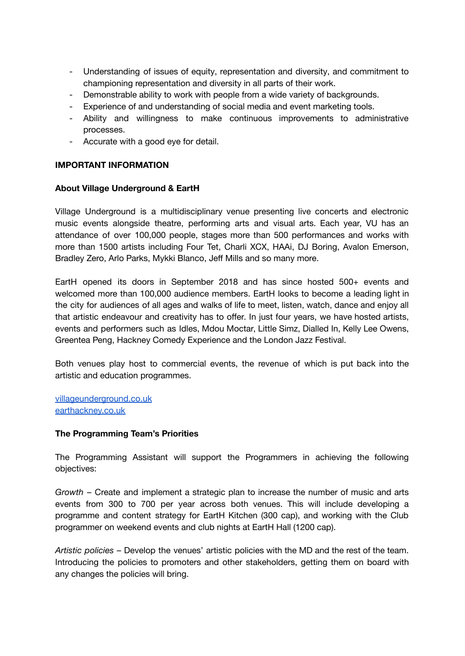- Understanding of issues of equity, representation and diversity, and commitment to championing representation and diversity in all parts of their work.
- Demonstrable ability to work with people from a wide variety of backgrounds.
- Experience of and understanding of social media and event marketing tools.
- Ability and willingness to make continuous improvements to administrative processes.
- Accurate with a good eye for detail.

# **IMPORTANT INFORMATION**

### **About Village Underground & EartH**

Village Underground is a multidisciplinary venue presenting live concerts and electronic music events alongside theatre, performing arts and visual arts. Each year, VU has an attendance of over 100,000 people, stages more than 500 performances and works with more than 1500 artists including Four Tet, Charli XCX, HAAi, DJ Boring, Avalon Emerson, Bradley Zero, Arlo Parks, Mykki Blanco, Jeff Mills and so many more.

EartH opened its doors in September 2018 and has since hosted 500+ events and welcomed more than 100,000 audience members. EartH looks to become a leading light in the city for audiences of all ages and walks of life to meet, listen, watch, dance and enjoy all that artistic endeavour and creativity has to offer. In just four years, we have hosted artists, events and performers such as Idles, Mdou Moctar, Little Simz, Dialled In, Kelly Lee Owens, Greentea Peng, Hackney Comedy Experience and the London Jazz Festival.

Both venues play host to commercial events, the revenue of which is put back into the artistic and education programmes.

[villageunderground.co.uk](http://villageunderground.co.uk) [earthackney.co.uk](http://earthackney.co.uk)

# **The Programming Team's Priorities**

The Programming Assistant will support the Programmers in achieving the following objectives:

*Growth* – Create and implement a strategic plan to increase the number of music and arts events from 300 to 700 per year across both venues. This will include developing a programme and content strategy for EartH Kitchen (300 cap), and working with the Club programmer on weekend events and club nights at EartH Hall (1200 cap).

*Artistic policies* – Develop the venues' artistic policies with the MD and the rest of the team. Introducing the policies to promoters and other stakeholders, getting them on board with any changes the policies will bring.